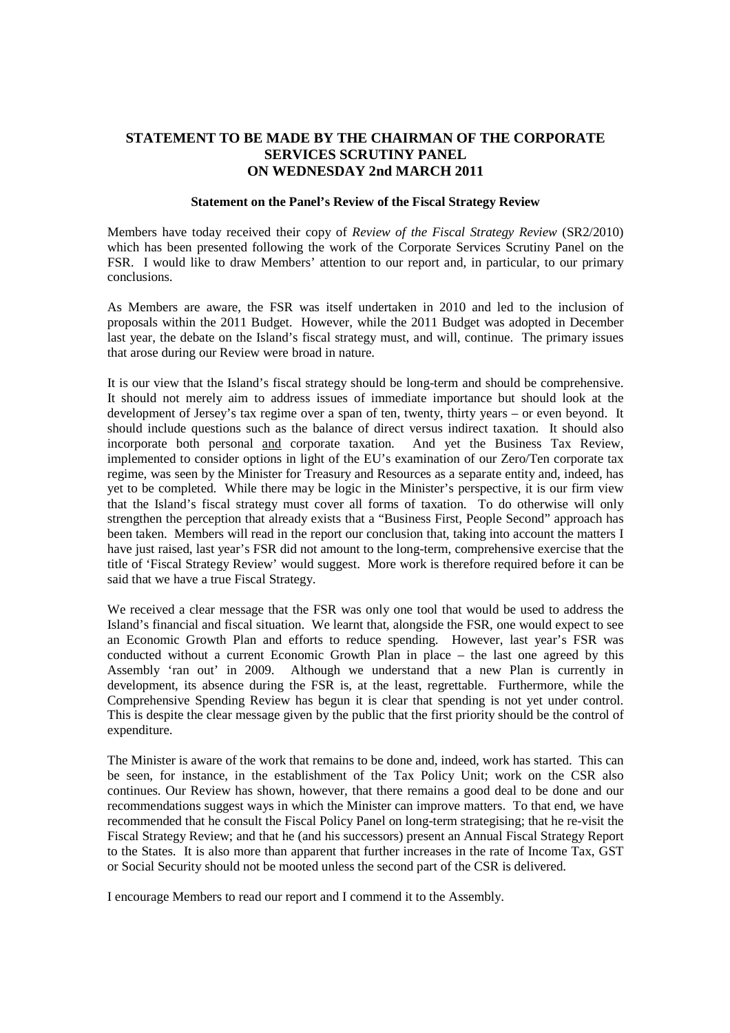# **STATEMENT TO BE MADE BY THE CHAIRMAN OF THE CORPORATE SERVICES SCRUTINY PANEL ON WEDNESDAY 2nd MARCH 2011**

#### **Statement on the Panel's Review of the Fiscal Strategy Review**

Members have today received their copy of *Review of the Fiscal Strategy Review* (SR2/2010) which has been presented following the work of the Corporate Services Scrutiny Panel on the FSR. I would like to draw Members' attention to our report and, in particular, to our primary conclusions.

As Members are aware, the FSR was itself undertaken in 2010 and led to the inclusion of proposals within the 2011 Budget. However, while the 2011 Budget was adopted in December last year, the debate on the Island's fiscal strategy must, and will, continue. The primary issues that arose during our Review were broad in nature.

It is our view that the Island's fiscal strategy should be long-term and should be comprehensive. It should not merely aim to address issues of immediate importance but should look at the development of Jersey's tax regime over a span of ten, twenty, thirty years – or even beyond. It should include questions such as the balance of direct versus indirect taxation. It should also incorporate both personal and corporate taxation. And yet the Business Tax Review, implemented to consider options in light of the EU's examination of our Zero/Ten corporate tax regime, was seen by the Minister for Treasury and Resources as a separate entity and, indeed, has yet to be completed. While there may be logic in the Minister's perspective, it is our firm view that the Island's fiscal strategy must cover all forms of taxation. To do otherwise will only strengthen the perception that already exists that a "Business First, People Second" approach has been taken. Members will read in the report our conclusion that, taking into account the matters I have just raised, last year's FSR did not amount to the long-term, comprehensive exercise that the title of 'Fiscal Strategy Review' would suggest. More work is therefore required before it can be said that we have a true Fiscal Strategy.

We received a clear message that the FSR was only one tool that would be used to address the Island's financial and fiscal situation. We learnt that, alongside the FSR, one would expect to see an Economic Growth Plan and efforts to reduce spending. However, last year's FSR was conducted without a current Economic Growth Plan in place – the last one agreed by this Assembly 'ran out' in 2009. Although we understand that a new Plan is currently in development, its absence during the FSR is, at the least, regrettable. Furthermore, while the Comprehensive Spending Review has begun it is clear that spending is not yet under control. This is despite the clear message given by the public that the first priority should be the control of expenditure.

The Minister is aware of the work that remains to be done and, indeed, work has started. This can be seen, for instance, in the establishment of the Tax Policy Unit; work on the CSR also continues. Our Review has shown, however, that there remains a good deal to be done and our recommendations suggest ways in which the Minister can improve matters. To that end, we have recommended that he consult the Fiscal Policy Panel on long-term strategising; that he re-visit the Fiscal Strategy Review; and that he (and his successors) present an Annual Fiscal Strategy Report to the States. It is also more than apparent that further increases in the rate of Income Tax, GST or Social Security should not be mooted unless the second part of the CSR is delivered.

I encourage Members to read our report and I commend it to the Assembly.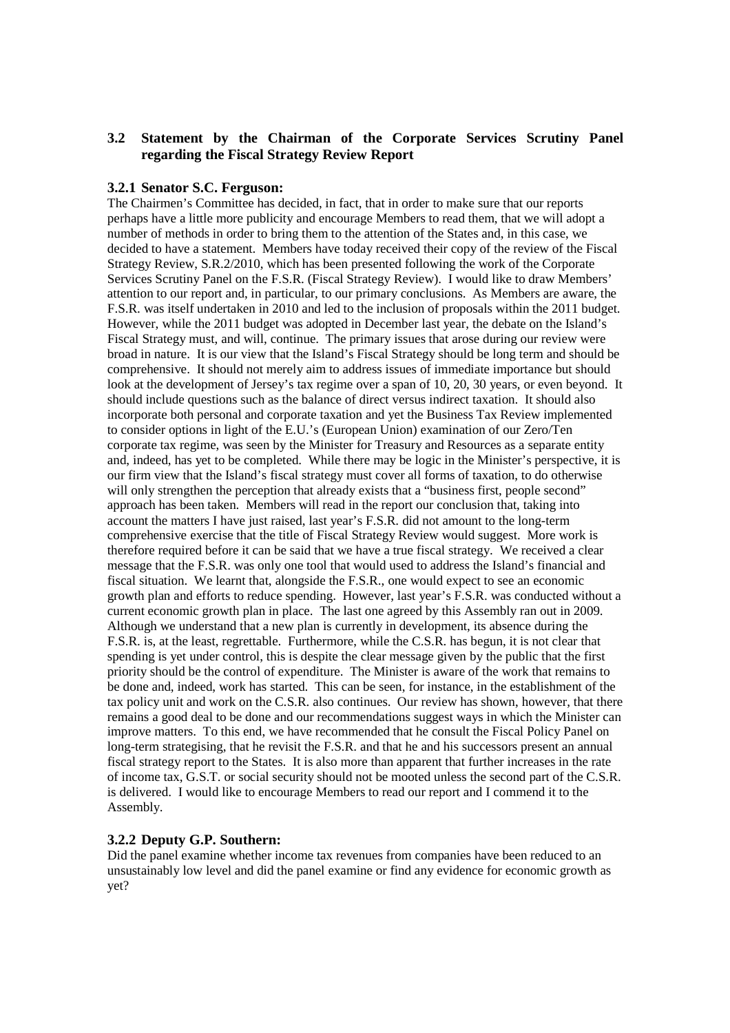# **3.2 Statement by the Chairman of the Corporate Services Scrutiny Panel regarding the Fiscal Strategy Review Report**

### **3.2.1 Senator S.C. Ferguson:**

The Chairmen's Committee has decided, in fact, that in order to make sure that our reports perhaps have a little more publicity and encourage Members to read them, that we will adopt a number of methods in order to bring them to the attention of the States and, in this case, we decided to have a statement. Members have today received their copy of the review of the Fiscal Strategy Review, S.R.2/2010, which has been presented following the work of the Corporate Services Scrutiny Panel on the F.S.R. (Fiscal Strategy Review). I would like to draw Members' attention to our report and, in particular, to our primary conclusions. As Members are aware, the F.S.R. was itself undertaken in 2010 and led to the inclusion of proposals within the 2011 budget. However, while the 2011 budget was adopted in December last year, the debate on the Island's Fiscal Strategy must, and will, continue. The primary issues that arose during our review were broad in nature. It is our view that the Island's Fiscal Strategy should be long term and should be comprehensive. It should not merely aim to address issues of immediate importance but should look at the development of Jersey's tax regime over a span of 10, 20, 30 years, or even beyond. It should include questions such as the balance of direct versus indirect taxation. It should also incorporate both personal and corporate taxation and yet the Business Tax Review implemented to consider options in light of the E.U.'s (European Union) examination of our Zero/Ten corporate tax regime, was seen by the Minister for Treasury and Resources as a separate entity and, indeed, has yet to be completed. While there may be logic in the Minister's perspective, it is our firm view that the Island's fiscal strategy must cover all forms of taxation, to do otherwise will only strengthen the perception that already exists that a "business first, people second" approach has been taken. Members will read in the report our conclusion that, taking into account the matters I have just raised, last year's F.S.R. did not amount to the long-term comprehensive exercise that the title of Fiscal Strategy Review would suggest. More work is therefore required before it can be said that we have a true fiscal strategy. We received a clear message that the F.S.R. was only one tool that would used to address the Island's financial and fiscal situation. We learnt that, alongside the F.S.R., one would expect to see an economic growth plan and efforts to reduce spending. However, last year's F.S.R. was conducted without a current economic growth plan in place. The last one agreed by this Assembly ran out in 2009. Although we understand that a new plan is currently in development, its absence during the F.S.R. is, at the least, regrettable. Furthermore, while the C.S.R. has begun, it is not clear that spending is yet under control, this is despite the clear message given by the public that the first priority should be the control of expenditure. The Minister is aware of the work that remains to be done and, indeed, work has started. This can be seen, for instance, in the establishment of the tax policy unit and work on the C.S.R. also continues. Our review has shown, however, that there remains a good deal to be done and our recommendations suggest ways in which the Minister can improve matters. To this end, we have recommended that he consult the Fiscal Policy Panel on long-term strategising, that he revisit the F.S.R. and that he and his successors present an annual fiscal strategy report to the States. It is also more than apparent that further increases in the rate of income tax, G.S.T. or social security should not be mooted unless the second part of the C.S.R. is delivered. I would like to encourage Members to read our report and I commend it to the Assembly.

# **3.2.2 Deputy G.P. Southern:**

Did the panel examine whether income tax revenues from companies have been reduced to an unsustainably low level and did the panel examine or find any evidence for economic growth as yet?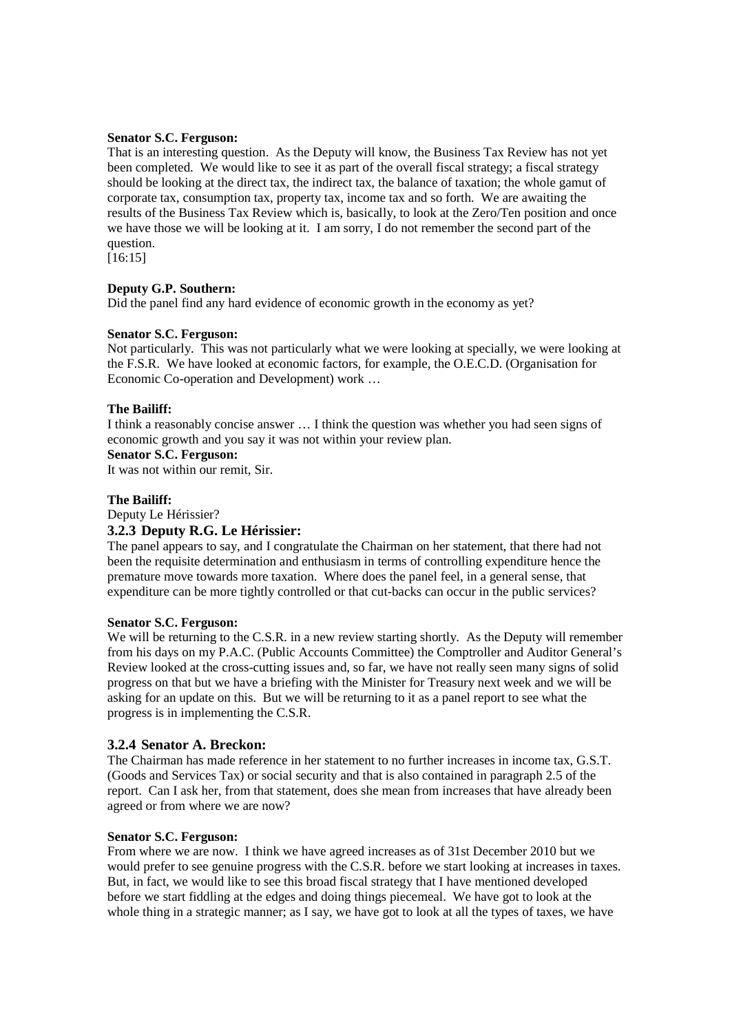### **Senator S.C. Ferguson:**

That is an interesting question. As the Deputy will know, the Business Tax Review has not yet been completed. We would like to see it as part of the overall fiscal strategy; a fiscal strategy should be looking at the direct tax, the indirect tax, the balance of taxation; the whole gamut of corporate tax, consumption tax, property tax, income tax and so forth. We are awaiting the results of the Business Tax Review which is, basically, to look at the Zero/Ten position and once we have those we will be looking at it. I am sorry, I do not remember the second part of the question.

[16:15]

# **Deputy G.P. Southern:**

Did the panel find any hard evidence of economic growth in the economy as yet?

## **Senator S.C. Ferguson:**

Not particularly. This was not particularly what we were looking at specially, we were looking at the F.S.R. We have looked at economic factors, for example, the O.E.C.D. (Organisation for Economic Co-operation and Development) work …

## **The Bailiff:**

I think a reasonably concise answer … I think the question was whether you had seen signs of economic growth and you say it was not within your review plan.

# **Senator S.C. Ferguson:**

It was not within our remit, Sir.

### **The Bailiff:**

Deputy Le Hérissier?

## **3.2.3 Deputy R.G. Le Hérissier:**

The panel appears to say, and I congratulate the Chairman on her statement, that there had not been the requisite determination and enthusiasm in terms of controlling expenditure hence the premature move towards more taxation. Where does the panel feel, in a general sense, that expenditure can be more tightly controlled or that cut-backs can occur in the public services?

### **Senator S.C. Ferguson:**

We will be returning to the C.S.R. in a new review starting shortly. As the Deputy will remember from his days on my P.A.C. (Public Accounts Committee) the Comptroller and Auditor General's Review looked at the cross-cutting issues and, so far, we have not really seen many signs of solid progress on that but we have a briefing with the Minister for Treasury next week and we will be asking for an update on this. But we will be returning to it as a panel report to see what the progress is in implementing the C.S.R.

## **3.2.4 Senator A. Breckon:**

The Chairman has made reference in her statement to no further increases in income tax, G.S.T. (Goods and Services Tax) or social security and that is also contained in paragraph 2.5 of the report. Can I ask her, from that statement, does she mean from increases that have already been agreed or from where we are now?

### **Senator S.C. Ferguson:**

From where we are now. I think we have agreed increases as of 31st December 2010 but we would prefer to see genuine progress with the C.S.R. before we start looking at increases in taxes. But, in fact, we would like to see this broad fiscal strategy that I have mentioned developed before we start fiddling at the edges and doing things piecemeal. We have got to look at the whole thing in a strategic manner; as I say, we have got to look at all the types of taxes, we have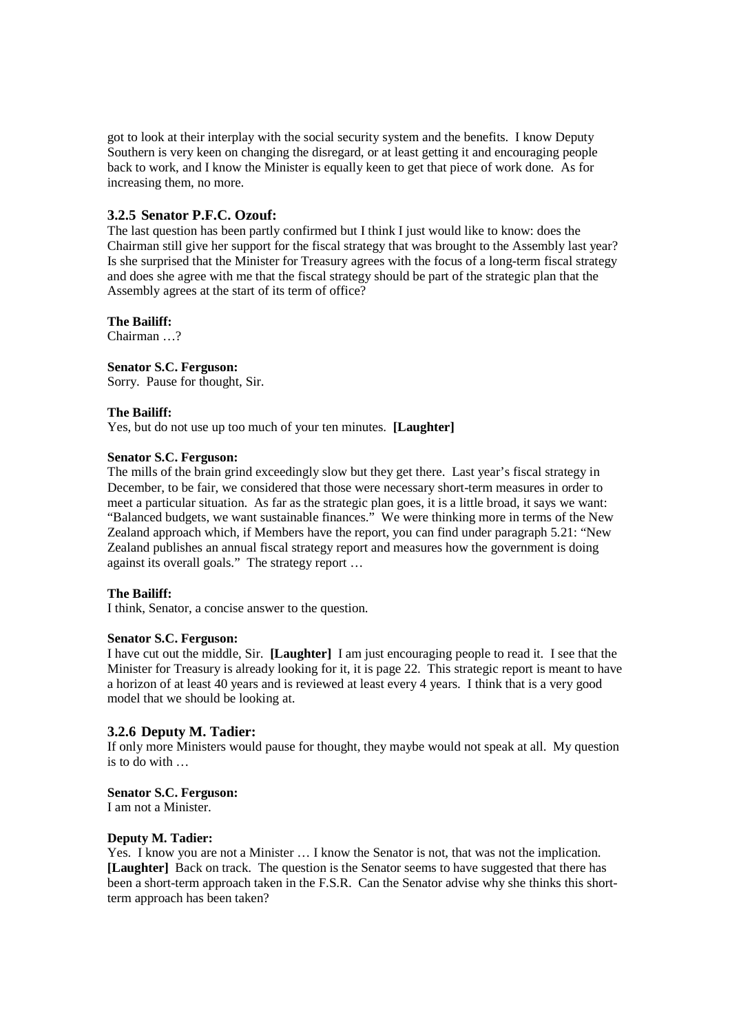got to look at their interplay with the social security system and the benefits. I know Deputy Southern is very keen on changing the disregard, or at least getting it and encouraging people back to work, and I know the Minister is equally keen to get that piece of work done. As for increasing them, no more.

## **3.2.5 Senator P.F.C. Ozouf:**

The last question has been partly confirmed but I think I just would like to know: does the Chairman still give her support for the fiscal strategy that was brought to the Assembly last year? Is she surprised that the Minister for Treasury agrees with the focus of a long-term fiscal strategy and does she agree with me that the fiscal strategy should be part of the strategic plan that the Assembly agrees at the start of its term of office?

#### **The Bailiff:**

Chairman ?

### **Senator S.C. Ferguson:**

Sorry. Pause for thought, Sir.

#### **The Bailiff:**

Yes, but do not use up too much of your ten minutes. **[Laughter]**

#### **Senator S.C. Ferguson:**

The mills of the brain grind exceedingly slow but they get there. Last year's fiscal strategy in December, to be fair, we considered that those were necessary short-term measures in order to meet a particular situation. As far as the strategic plan goes, it is a little broad, it says we want: "Balanced budgets, we want sustainable finances." We were thinking more in terms of the New Zealand approach which, if Members have the report, you can find under paragraph 5.21: "New Zealand publishes an annual fiscal strategy report and measures how the government is doing against its overall goals." The strategy report …

### **The Bailiff:**

I think, Senator, a concise answer to the question.

## **Senator S.C. Ferguson:**

I have cut out the middle, Sir. **[Laughter]** I am just encouraging people to read it. I see that the Minister for Treasury is already looking for it, it is page 22. This strategic report is meant to have a horizon of at least 40 years and is reviewed at least every 4 years. I think that is a very good model that we should be looking at.

## **3.2.6 Deputy M. Tadier:**

If only more Ministers would pause for thought, they maybe would not speak at all. My question  $i$ s to do with

# **Senator S.C. Ferguson:**

I am not a Minister.

### **Deputy M. Tadier:**

Yes. I know you are not a Minister … I know the Senator is not, that was not the implication. **[Laughter]** Back on track. The question is the Senator seems to have suggested that there has been a short-term approach taken in the F.S.R. Can the Senator advise why she thinks this shortterm approach has been taken?